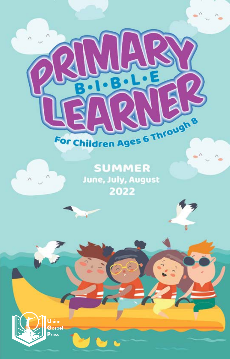

¥

÷,

**SUMMER** June, July, August 2022

123

Union Gospel<br>Press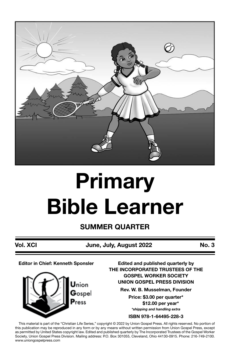

# **Primary Bible Learner**

**SUMMER QUARTER**

**Vol. XCI June, July, August 2022 No. 3**

**Editor in Chief: Kenneth Sponsler**



**Edited and published quarterly by THE INCORPORATED TRUSTEES OF THE GOSPEL WORKER SOCIETY UNION GOSPEL PRESS DIVISION Rev. W. B. Musselman, Founder Price: \$3.00 per quarter\* \$12.00 per year\***

*\*shipping and handling extra*

**ISBN 978-1-64495-228-3**

This material is part of the "Christian Life Series," copyright © 2022 by Union Gospel Press. All rights reserved. No portion of this publication may be reproduced in any form or by any means without written permission from Union Gospel Press, except as permitted by United States copyright law. Edited and published quarterly by The Incorporated Trustees of the Gospel Worker Society, Union Gospel Press Division. Mailing address: P.O. Box 301055, Cleveland, Ohio 44130-0915. Phone: 216-749-2100. www.uniongospelpress.com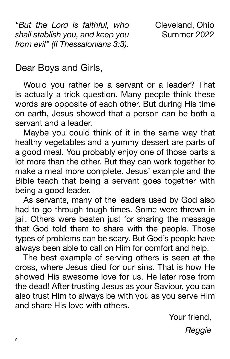*"But the Lord is faithful, who shall stablish you, and keep you from evil" (II Thessalonians 3:3).*

Cleveland, Ohio Summer 2022

Dear Boys and Girls,

Would you rather be a servant or a leader? That is actually a trick question. Many people think these words are opposite of each other. But during His time on earth, Jesus showed that a person can be both a servant and a leader.

Maybe you could think of it in the same way that healthy vegetables and a yummy dessert are parts of a good meal. You probably enjoy one of those parts a lot more than the other. But they can work together to make a meal more complete. Jesus' example and the Bible teach that being a servant goes together with being a good leader.

As servants, many of the leaders used by God also had to go through tough times. Some were thrown in jail. Others were beaten just for sharing the message that God told them to share with the people. Those types of problems can be scary. But God's people have always been able to call on Him for comfort and help.

The best example of serving others is seen at the cross, where Jesus died for our sins. That is how He showed His awesome love for us. He later rose from the dead! After trusting Jesus as your Saviour, you can also trust Him to always be with you as you serve Him and share His love with others.

Your friend,

*Reggie*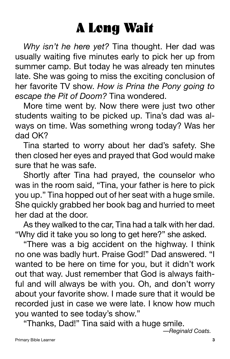### A Long Wait

*Why isn't he here yet?* Tina thought. Her dad was usually waiting five minutes early to pick her up from summer camp. But today he was already ten minutes late. She was going to miss the exciting conclusion of her favorite TV show. *How is Prina the Pony going to escape the Pit of Doom?* Tina wondered.

More time went by. Now there were just two other students waiting to be picked up. Tina's dad was always on time. Was something wrong today? Was her dad OK?

Tina started to worry about her dad's safety. She then closed her eyes and prayed that God would make sure that he was safe.

Shortly after Tina had prayed, the counselor who was in the room said, "Tina, your father is here to pick you up." Tina hopped out of her seat with a huge smile. She quickly grabbed her book bag and hurried to meet her dad at the door.

As they walked to the car, Tina had a talk with her dad. "Why did it take you so long to get here?" she asked.

"There was a big accident on the highway. I think no one was badly hurt. Praise God!" Dad answered. "I wanted to be here on time for you, but it didn't work out that way. Just remember that God is always faithful and will always be with you. Oh, and don't worry about your favorite show. I made sure that it would be recorded just in case we were late. I know how much you wanted to see today's show."

"Thanks, Dad!" Tina said with a huge smile.

*—Reginald Coats.*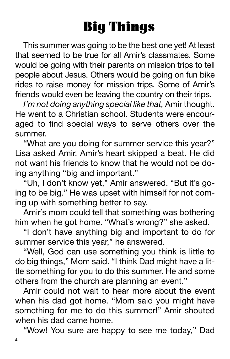## Big Things

This summer was going to be the best one yet! At least that seemed to be true for all Amir's classmates. Some would be going with their parents on mission trips to tell people about Jesus. Others would be going on fun bike rides to raise money for mission trips. Some of Amir's friends would even be leaving the country on their trips.

*I'm not doing anything special like that,* Amir thought. He went to a Christian school. Students were encouraged to find special ways to serve others over the summer.

"What are you doing for summer service this year?" Lisa asked Amir. Amir's heart skipped a beat. He did not want his friends to know that he would not be doing anything "big and important."

"Uh, I don't know yet," Amir answered. "But it's going to be big." He was upset with himself for not coming up with something better to say.

Amir's mom could tell that something was bothering him when he got home. "What's wrong?" she asked.

"I don't have anything big and important to do for summer service this year," he answered.

"Well, God can use something you think is little to do big things," Mom said. "I think Dad might have a little something for you to do this summer. He and some others from the church are planning an event."

Amir could not wait to hear more about the event when his dad got home. "Mom said you might have something for me to do this summer!" Amir shouted when his dad came home.

"Wow! You sure are happy to see me today," Dad

**4**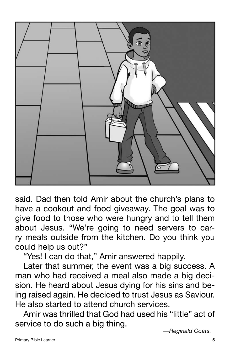

said. Dad then told Amir about the church's plans to have a cookout and food giveaway. The goal was to give food to those who were hungry and to tell them about Jesus. "We're going to need servers to carry meals outside from the kitchen. Do you think you could help us out?"

"Yes! I can do that," Amir answered happily.

Later that summer, the event was a big success. A man who had received a meal also made a big decision. He heard about Jesus dying for his sins and being raised again. He decided to trust Jesus as Saviour. He also started to attend church services.

Amir was thrilled that God had used his "little" act of service to do such a big thing.

*—Reginald Coats.*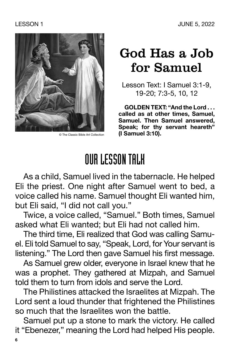

#### God Has a Job for Samuel

Lesson Text: I Samuel 3:1-9, 19-20; 7:3-5, 10, 12

**GOLDEN TEXT: "And the Lord . . . called as at other times, Samuel, Samuel. Then Samuel answered, Speak; for thy servant heareth"** © The Classic Bible Art Collection **(I Samuel 3:10).**

### OUR LESSON TALK

As a child, Samuel lived in the tabernacle. He helped Eli the priest. One night after Samuel went to bed, a voice called his name. Samuel thought Eli wanted him, but Eli said, "I did not call you."

Twice, a voice called, "Samuel." Both times, Samuel asked what Eli wanted; but Eli had not called him.

The third time, Eli realized that God was calling Samuel. Eli told Samuel to say, "Speak, Lord, for Your servant is listening." The Lord then gave Samuel his first message.

As Samuel grew older, everyone in Israel knew that he was a prophet. They gathered at Mizpah, and Samuel told them to turn from idols and serve the Lord.

The Philistines attacked the Israelites at Mizpah. The Lord sent a loud thunder that frightened the Philistines so much that the Israelites won the battle.

Samuel put up a stone to mark the victory. He called it "Ebenezer," meaning the Lord had helped His people.